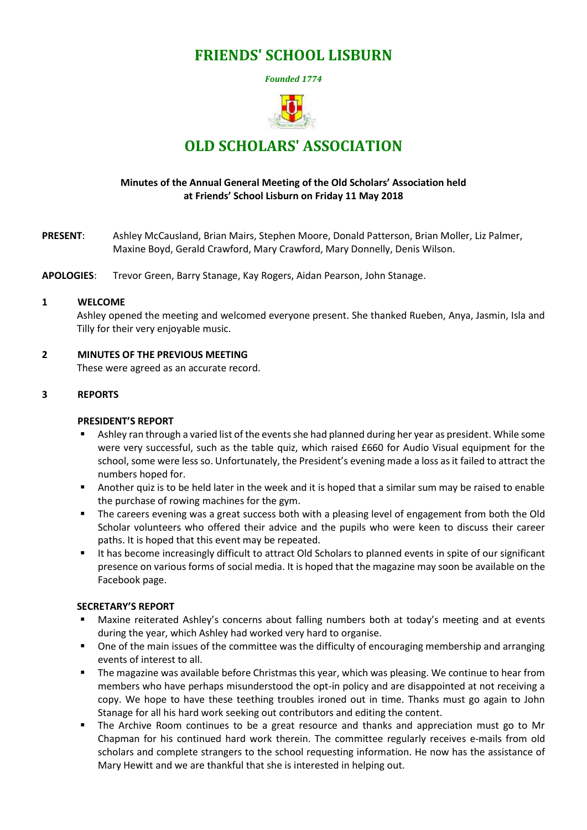# **FRIENDS' SCHOOL LISBURN**

*Founded 1774*



# **OLD SCHOLARS' ASSOCIATION**

# **Minutes of the Annual General Meeting of the Old Scholars' Association held at Friends' School Lisburn on Friday 11 May 2018**

**PRESENT**: Ashley McCausland, Brian Mairs, Stephen Moore, Donald Patterson, Brian Moller, Liz Palmer, Maxine Boyd, Gerald Crawford, Mary Crawford, Mary Donnelly, Denis Wilson.

**APOLOGIES**: Trevor Green, Barry Stanage, Kay Rogers, Aidan Pearson, John Stanage.

#### **1 WELCOME**

Ashley opened the meeting and welcomed everyone present. She thanked Rueben, Anya, Jasmin, Isla and Tilly for their very enjoyable music.

**2 MINUTES OF THE PREVIOUS MEETING** 

These were agreed as an accurate record.

# **3 REPORTS**

#### **PRESIDENT'S REPORT**

- Ashley ran through a varied list of the events she had planned during her year as president. While some were very successful, such as the table quiz, which raised £660 for Audio Visual equipment for the school, some were less so. Unfortunately, the President's evening made a loss as it failed to attract the numbers hoped for.
- Another quiz is to be held later in the week and it is hoped that a similar sum may be raised to enable the purchase of rowing machines for the gym.
- The careers evening was a great success both with a pleasing level of engagement from both the Old Scholar volunteers who offered their advice and the pupils who were keen to discuss their career paths. It is hoped that this event may be repeated.
- It has become increasingly difficult to attract Old Scholars to planned events in spite of our significant presence on various forms of social media. It is hoped that the magazine may soon be available on the Facebook page.

#### **SECRETARY'S REPORT**

- Maxine reiterated Ashley's concerns about falling numbers both at today's meeting and at events during the year, which Ashley had worked very hard to organise.
- One of the main issues of the committee was the difficulty of encouraging membership and arranging events of interest to all.
- The magazine was available before Christmas this year, which was pleasing. We continue to hear from members who have perhaps misunderstood the opt-in policy and are disappointed at not receiving a copy. We hope to have these teething troubles ironed out in time. Thanks must go again to John Stanage for all his hard work seeking out contributors and editing the content.
- The Archive Room continues to be a great resource and thanks and appreciation must go to Mr Chapman for his continued hard work therein. The committee regularly receives e-mails from old scholars and complete strangers to the school requesting information. He now has the assistance of Mary Hewitt and we are thankful that she is interested in helping out.